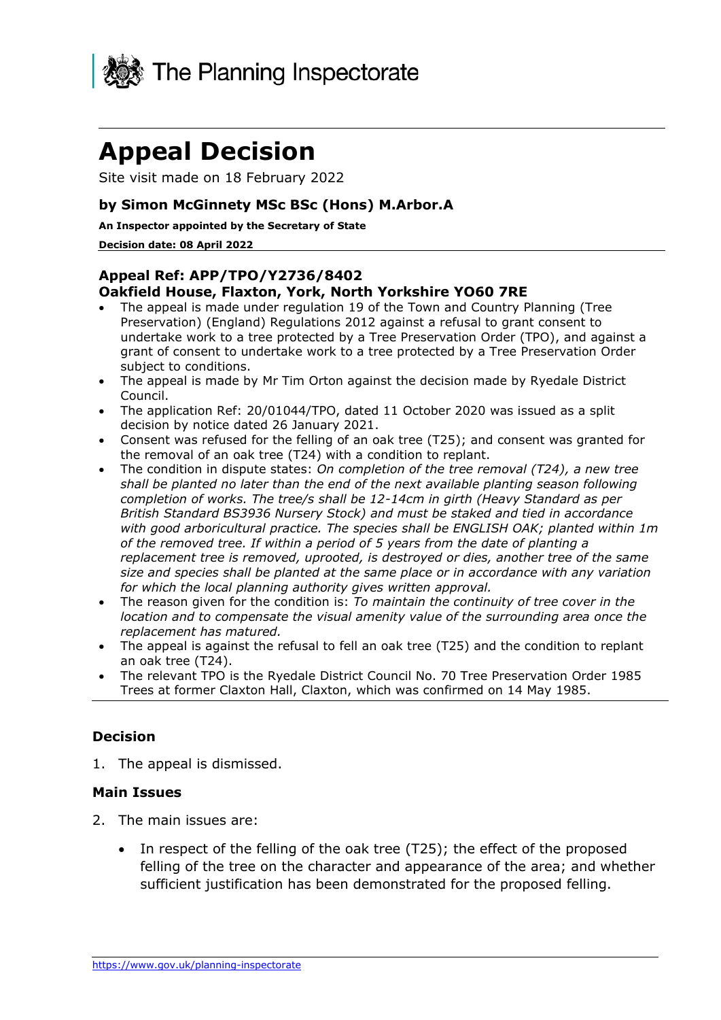

# **Appeal Decision**

Site visit made on 18 February 2022

## **by Simon McGinnety MSc BSc (Hons) M.Arbor.A**

#### **An Inspector appointed by the Secretary of State**

#### **Decision date: 08 April 2022**

# **Appeal Ref: APP/TPO/Y2736/8402 Oakfield House, Flaxton, York, North Yorkshire YO60 7RE**

- The appeal is made under regulation 19 of the Town and Country Planning (Tree Preservation) (England) Regulations 2012 against a refusal to grant consent to undertake work to a tree protected by a Tree Preservation Order (TPO), and against a grant of consent to undertake work to a tree protected by a Tree Preservation Order subject to conditions.
- The appeal is made by Mr Tim Orton against the decision made by Ryedale District Council.
- The application Ref: 20/01044/TPO, dated 11 October 2020 was issued as a split decision by notice dated 26 January 2021.
- Consent was refused for the felling of an oak tree (T25); and consent was granted for the removal of an oak tree (T24) with a condition to replant.
- The condition in dispute states: *On completion of the tree removal (T24), a new tree shall be planted no later than the end of the next available planting season following completion of works. The tree/s shall be 12-14cm in girth (Heavy Standard as per British Standard BS3936 Nursery Stock) and must be staked and tied in accordance with good arboricultural practice. The species shall be ENGLISH OAK; planted within 1m of the removed tree. If within a period of 5 years from the date of planting a replacement tree is removed, uprooted, is destroyed or dies, another tree of the same size and species shall be planted at the same place or in accordance with any variation for which the local planning authority gives written approval.*
- The reason given for the condition is: *To maintain the continuity of tree cover in the location and to compensate the visual amenity value of the surrounding area once the replacement has matured.*
- The appeal is against the refusal to fell an oak tree (T25) and the condition to replant an oak tree (T24).
- The relevant TPO is the Ryedale District Council No. 70 Tree Preservation Order 1985 Trees at former Claxton Hall, Claxton, which was confirmed on 14 May 1985.

#### **Decision**

1. The appeal is dismissed.

#### **Main Issues**

- 2. The main issues are:
	- In respect of the felling of the oak tree (T25); the effect of the proposed felling of the tree on the character and appearance of the area; and whether sufficient justification has been demonstrated for the proposed felling.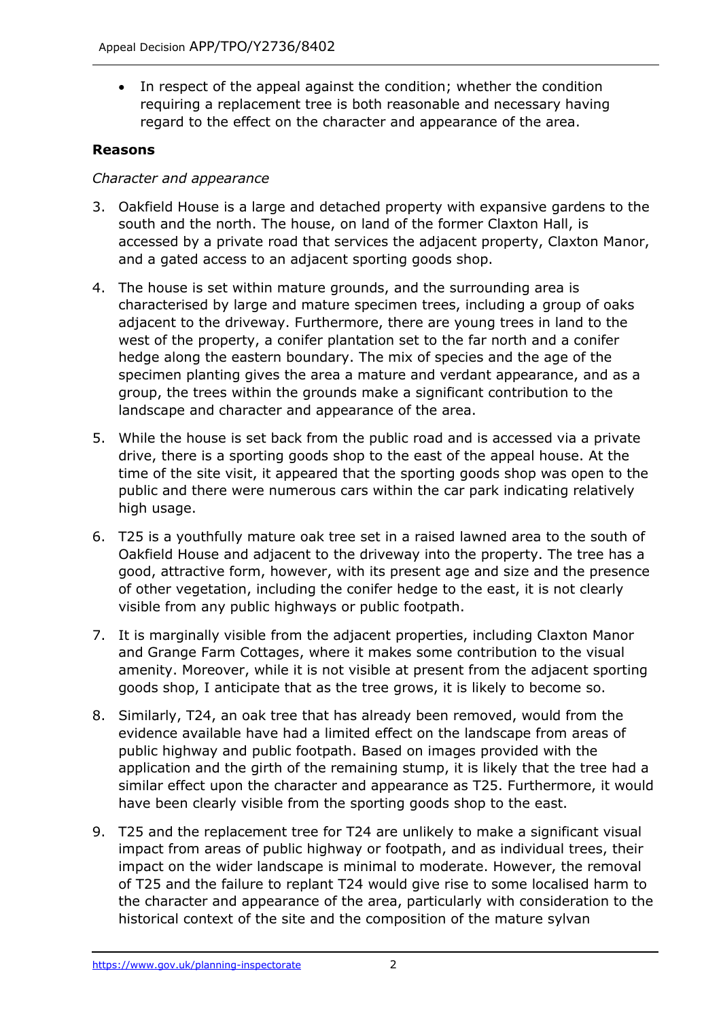• In respect of the appeal against the condition; whether the condition requiring a replacement tree is both reasonable and necessary having regard to the effect on the character and appearance of the area.

# **Reasons**

## *Character and appearance*

- 3. Oakfield House is a large and detached property with expansive gardens to the south and the north. The house, on land of the former Claxton Hall, is accessed by a private road that services the adjacent property, Claxton Manor, and a gated access to an adjacent sporting goods shop.
- 4. The house is set within mature grounds, and the surrounding area is characterised by large and mature specimen trees, including a group of oaks adjacent to the driveway. Furthermore, there are young trees in land to the west of the property, a conifer plantation set to the far north and a conifer hedge along the eastern boundary. The mix of species and the age of the specimen planting gives the area a mature and verdant appearance, and as a group, the trees within the grounds make a significant contribution to the landscape and character and appearance of the area.
- 5. While the house is set back from the public road and is accessed via a private drive, there is a sporting goods shop to the east of the appeal house. At the time of the site visit, it appeared that the sporting goods shop was open to the public and there were numerous cars within the car park indicating relatively high usage.
- 6. T25 is a youthfully mature oak tree set in a raised lawned area to the south of Oakfield House and adjacent to the driveway into the property. The tree has a good, attractive form, however, with its present age and size and the presence of other vegetation, including the conifer hedge to the east, it is not clearly visible from any public highways or public footpath.
- 7. It is marginally visible from the adjacent properties, including Claxton Manor and Grange Farm Cottages, where it makes some contribution to the visual amenity. Moreover, while it is not visible at present from the adjacent sporting goods shop, I anticipate that as the tree grows, it is likely to become so.
- 8. Similarly, T24, an oak tree that has already been removed, would from the evidence available have had a limited effect on the landscape from areas of public highway and public footpath. Based on images provided with the application and the girth of the remaining stump, it is likely that the tree had a similar effect upon the character and appearance as T25. Furthermore, it would have been clearly visible from the sporting goods shop to the east.
- 9. T25 and the replacement tree for T24 are unlikely to make a significant visual impact from areas of public highway or footpath, and as individual trees, their impact on the wider landscape is minimal to moderate. However, the removal of T25 and the failure to replant T24 would give rise to some localised harm to the character and appearance of the area, particularly with consideration to the historical context of the site and the composition of the mature sylvan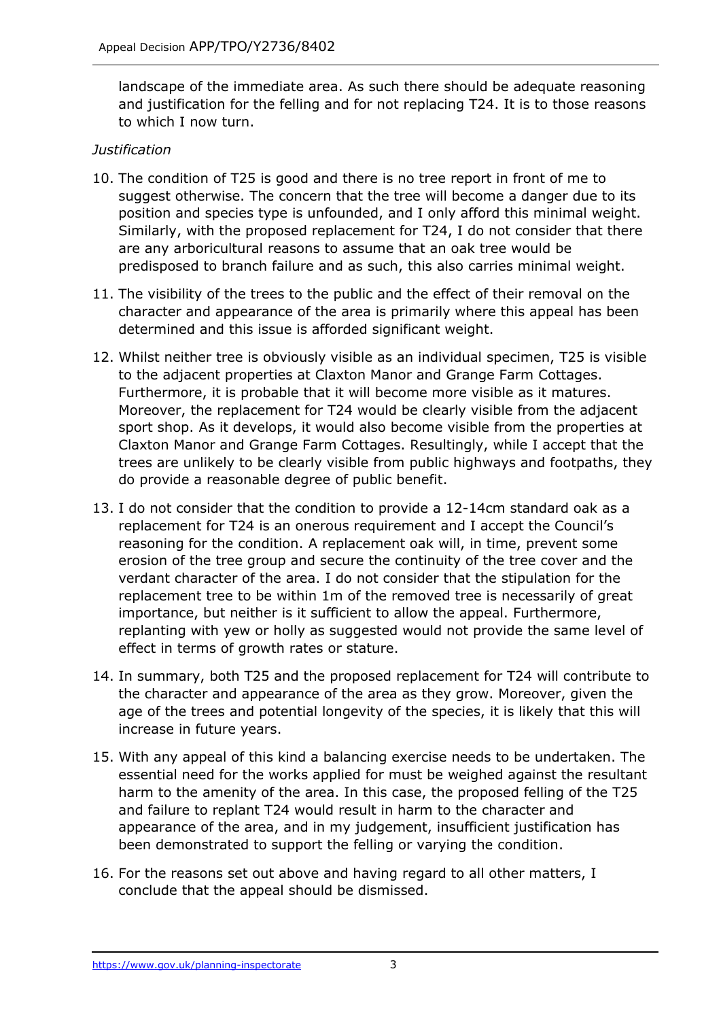landscape of the immediate area. As such there should be adequate reasoning and justification for the felling and for not replacing T24. It is to those reasons to which I now turn.

## *Justification*

- 10. The condition of T25 is good and there is no tree report in front of me to suggest otherwise. The concern that the tree will become a danger due to its position and species type is unfounded, and I only afford this minimal weight. Similarly, with the proposed replacement for T24, I do not consider that there are any arboricultural reasons to assume that an oak tree would be predisposed to branch failure and as such, this also carries minimal weight.
- 11. The visibility of the trees to the public and the effect of their removal on the character and appearance of the area is primarily where this appeal has been determined and this issue is afforded significant weight.
- 12. Whilst neither tree is obviously visible as an individual specimen, T25 is visible to the adjacent properties at Claxton Manor and Grange Farm Cottages. Furthermore, it is probable that it will become more visible as it matures. Moreover, the replacement for T24 would be clearly visible from the adjacent sport shop. As it develops, it would also become visible from the properties at Claxton Manor and Grange Farm Cottages. Resultingly, while I accept that the trees are unlikely to be clearly visible from public highways and footpaths, they do provide a reasonable degree of public benefit.
- 13. I do not consider that the condition to provide a 12-14cm standard oak as a replacement for T24 is an onerous requirement and I accept the Council's reasoning for the condition. A replacement oak will, in time, prevent some erosion of the tree group and secure the continuity of the tree cover and the verdant character of the area. I do not consider that the stipulation for the replacement tree to be within 1m of the removed tree is necessarily of great importance, but neither is it sufficient to allow the appeal. Furthermore, replanting with yew or holly as suggested would not provide the same level of effect in terms of growth rates or stature.
- 14. In summary, both T25 and the proposed replacement for T24 will contribute to the character and appearance of the area as they grow. Moreover, given the age of the trees and potential longevity of the species, it is likely that this will increase in future years.
- 15. With any appeal of this kind a balancing exercise needs to be undertaken. The essential need for the works applied for must be weighed against the resultant harm to the amenity of the area. In this case, the proposed felling of the T25 and failure to replant T24 would result in harm to the character and appearance of the area, and in my judgement, insufficient justification has been demonstrated to support the felling or varying the condition.
- 16. For the reasons set out above and having regard to all other matters, I conclude that the appeal should be dismissed.